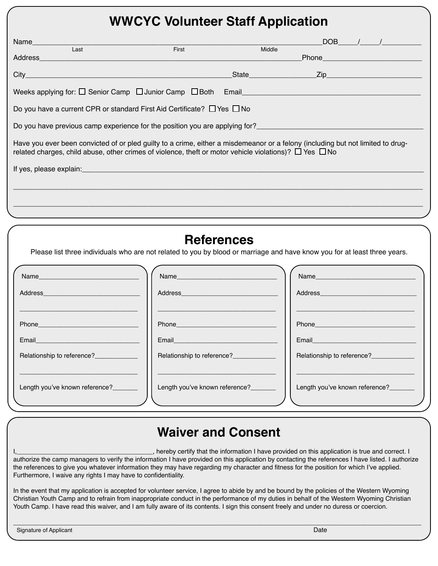#### **WWCYC Volunteer Staff Application**

| Name_____________<br>$\overline{Last}$                                                                                                                                                                                                              | First                                                                                                                                                                                                                          | Middle               |                                                                                                                                                                                                                                | $DOB$ / /                                                                                                       |
|-----------------------------------------------------------------------------------------------------------------------------------------------------------------------------------------------------------------------------------------------------|--------------------------------------------------------------------------------------------------------------------------------------------------------------------------------------------------------------------------------|----------------------|--------------------------------------------------------------------------------------------------------------------------------------------------------------------------------------------------------------------------------|-----------------------------------------------------------------------------------------------------------------|
|                                                                                                                                                                                                                                                     |                                                                                                                                                                                                                                |                      |                                                                                                                                                                                                                                |                                                                                                                 |
| City                                                                                                                                                                                                                                                |                                                                                                                                                                                                                                | State <b>Zip Zip</b> |                                                                                                                                                                                                                                |                                                                                                                 |
|                                                                                                                                                                                                                                                     |                                                                                                                                                                                                                                |                      |                                                                                                                                                                                                                                |                                                                                                                 |
| Do you have a current CPR or standard First Aid Certificate? $\Box$ Yes $\Box$ No                                                                                                                                                                   |                                                                                                                                                                                                                                |                      |                                                                                                                                                                                                                                |                                                                                                                 |
| Do you have previous camp experience for the position you are applying for?<br>Do you have previous camp experience for the position you are applying for?                                                                                          |                                                                                                                                                                                                                                |                      |                                                                                                                                                                                                                                |                                                                                                                 |
| Have you ever been convicted of or pled guilty to a crime, either a misdemeanor or a felony (including but not limited to drug-<br>related charges, child abuse, other crimes of violence, theft or motor vehicle violations)? $\Box$ Yes $\Box$ No |                                                                                                                                                                                                                                |                      |                                                                                                                                                                                                                                |                                                                                                                 |
|                                                                                                                                                                                                                                                     |                                                                                                                                                                                                                                |                      |                                                                                                                                                                                                                                |                                                                                                                 |
|                                                                                                                                                                                                                                                     |                                                                                                                                                                                                                                |                      |                                                                                                                                                                                                                                |                                                                                                                 |
|                                                                                                                                                                                                                                                     |                                                                                                                                                                                                                                |                      |                                                                                                                                                                                                                                |                                                                                                                 |
|                                                                                                                                                                                                                                                     |                                                                                                                                                                                                                                |                      |                                                                                                                                                                                                                                |                                                                                                                 |
|                                                                                                                                                                                                                                                     | <b>References</b>                                                                                                                                                                                                              |                      |                                                                                                                                                                                                                                |                                                                                                                 |
| Please list three individuals who are not related to you by blood or marriage and have know you for at least three years.                                                                                                                           |                                                                                                                                                                                                                                |                      |                                                                                                                                                                                                                                |                                                                                                                 |
| Name and the contract of the contract of the contract of the contract of the contract of the contract of the contract of the contract of the contract of the contract of the contract of the contract of the contract of the c                      | Name and the contract of the contract of the contract of the contract of the contract of the contract of the contract of the contract of the contract of the contract of the contract of the contract of the contract of the c |                      | Name and the contract of the contract of the contract of the contract of the contract of the contract of the contract of the contract of the contract of the contract of the contract of the contract of the contract of the c |                                                                                                                 |
|                                                                                                                                                                                                                                                     |                                                                                                                                                                                                                                |                      |                                                                                                                                                                                                                                | Address and the contract of the contract of the contract of the contract of the contract of the contract of the |
|                                                                                                                                                                                                                                                     |                                                                                                                                                                                                                                |                      |                                                                                                                                                                                                                                |                                                                                                                 |
|                                                                                                                                                                                                                                                     | <u> 1980 - Jan Barnett, fransk politiker (d. 1980)</u>                                                                                                                                                                         |                      |                                                                                                                                                                                                                                |                                                                                                                 |

Relationship to reference? \_\_\_\_\_\_\_\_\_\_\_\_\_\_\_\_\_\_\_\_\_\_\_\_\_\_\_\_\_\_\_\_\_ \_\_\_\_\_\_\_\_\_\_\_\_\_\_\_\_\_\_\_\_\_\_\_\_\_\_\_\_\_\_\_\_\_

Length you've known reference?

Length you've known reference?

# Email

Relationship to reference?

# **Waiver and Consent**

I,\_\_\_\_\_\_\_\_\_\_\_\_\_\_\_\_\_\_\_\_\_\_\_\_\_\_\_\_\_\_\_\_\_\_\_\_\_\_, hereby certify that the information I have provided on this application is true and correct. I authorize the camp managers to verify the information I have provided on this application by contacting the references I have listed. I authorize the references to give you whatever information they may have regarding my character and fitness for the position for which I've applied. Furthermore, I waive any rights I may have to confidentiality.

In the event that my application is accepted for volunteer service, I agree to abide by and be bound by the policies of the Western Wyoming Christian Youth Camp and to refrain from inappropriate conduct in the performance of my duties in behalf of the Western Wyoming Christian Youth Camp. I have read this waiver, and I am fully aware of its contents. I sign this consent freely and under no duress or coercion.

\_\_\_\_\_\_\_\_\_\_\_\_\_\_\_\_\_\_\_\_\_\_\_\_\_\_\_\_\_\_\_\_\_\_\_\_\_\_\_\_\_\_\_\_\_\_\_\_\_\_\_\_\_\_\_\_\_\_\_\_\_\_\_\_\_\_\_\_\_\_\_\_\_\_\_\_\_\_\_\_\_\_\_\_\_\_\_\_\_\_\_\_\_\_\_\_\_\_\_\_\_\_\_\_\_\_\_\_\_\_\_\_\_\_

Email

Email

Relationship to reference?

\_\_\_\_\_\_\_\_\_\_\_\_\_\_\_\_\_\_\_\_\_\_\_\_\_\_\_\_\_\_\_\_\_

Length you've known reference?\_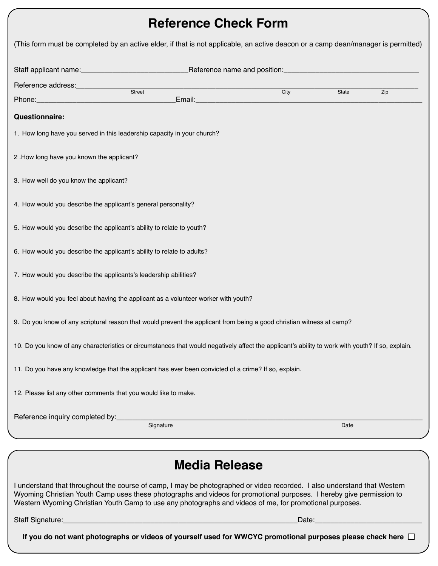## **Reference Check Form**

| (This form must be completed by an active elder, if that is not applicable, an active deacon or a camp dean/manager is permitted)                                                                                                                                                                                                                           |                      |      |       |     |
|-------------------------------------------------------------------------------------------------------------------------------------------------------------------------------------------------------------------------------------------------------------------------------------------------------------------------------------------------------------|----------------------|------|-------|-----|
|                                                                                                                                                                                                                                                                                                                                                             |                      |      |       |     |
| Reference address:_____________                                                                                                                                                                                                                                                                                                                             |                      |      |       |     |
| Street<br>Phone: 2008 2018 2019 2020 2021 2021 2022 2022 2023 2024 2022 2023 2024 2022 2023 2024 2022 2023 2024 2022 20                                                                                                                                                                                                                                     |                      | City | State | Zip |
| <b>Questionnaire:</b>                                                                                                                                                                                                                                                                                                                                       |                      |      |       |     |
| 1. How long have you served in this leadership capacity in your church?                                                                                                                                                                                                                                                                                     |                      |      |       |     |
| 2. How long have you known the applicant?                                                                                                                                                                                                                                                                                                                   |                      |      |       |     |
| 3. How well do you know the applicant?                                                                                                                                                                                                                                                                                                                      |                      |      |       |     |
| 4. How would you describe the applicant's general personality?                                                                                                                                                                                                                                                                                              |                      |      |       |     |
| 5. How would you describe the applicant's ability to relate to youth?                                                                                                                                                                                                                                                                                       |                      |      |       |     |
| 6. How would you describe the applicant's ability to relate to adults?                                                                                                                                                                                                                                                                                      |                      |      |       |     |
| 7. How would you describe the applicants's leadership abilities?                                                                                                                                                                                                                                                                                            |                      |      |       |     |
| 8. How would you feel about having the applicant as a volunteer worker with youth?                                                                                                                                                                                                                                                                          |                      |      |       |     |
| 9. Do you know of any scriptural reason that would prevent the applicant from being a good christian witness at camp?                                                                                                                                                                                                                                       |                      |      |       |     |
| 10. Do you know of any characteristics or circumstances that would negatively affect the applicant's ability to work with youth? If so, explain.                                                                                                                                                                                                            |                      |      |       |     |
| 11. Do you have any knowledge that the applicant has ever been convicted of a crime? If so, explain.                                                                                                                                                                                                                                                        |                      |      |       |     |
| 12. Please list any other comments that you would like to make.                                                                                                                                                                                                                                                                                             |                      |      |       |     |
|                                                                                                                                                                                                                                                                                                                                                             | Signature            |      | Date  |     |
|                                                                                                                                                                                                                                                                                                                                                             |                      |      |       |     |
|                                                                                                                                                                                                                                                                                                                                                             | <b>Media Release</b> |      |       |     |
| I understand that throughout the course of camp, I may be photographed or video recorded. I also understand that Western<br>Wyoming Christian Youth Camp uses these photographs and videos for promotional purposes. I hereby give permission to<br>Western Wyoming Christian Youth Camp to use any photographs and videos of me, for promotional purposes. |                      |      |       |     |
|                                                                                                                                                                                                                                                                                                                                                             |                      |      |       |     |
| If you do not want photographs or videos of yourself used for WWCYC promotional purposes please check here $\Box$                                                                                                                                                                                                                                           |                      |      |       |     |